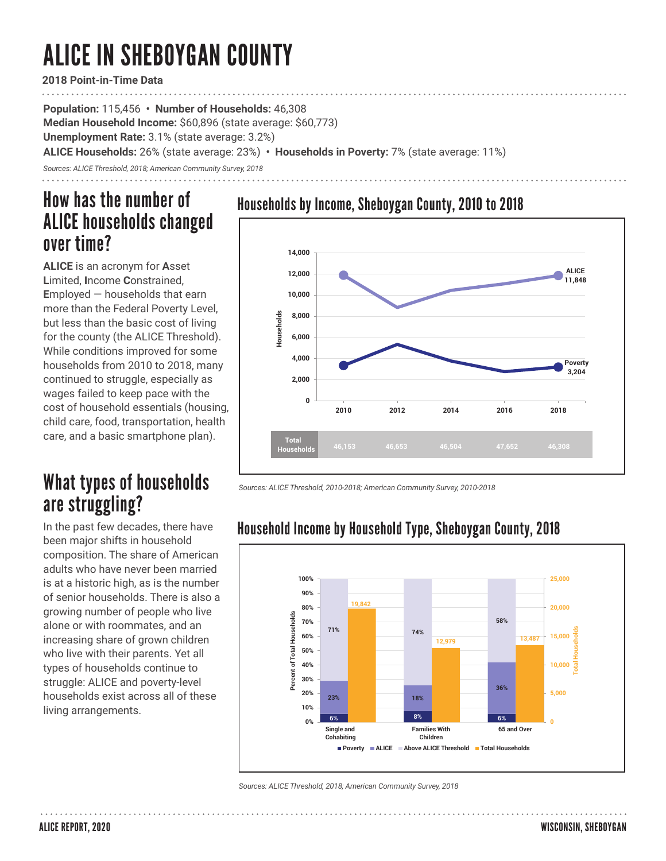# ALICE IN SHEBOYGAN COUNTY

**2018 Point-in-Time Data**

**Population:** 115,456 **• Number of Households:** 46,308

**Median Household Income:** \$60,896 (state average: \$60,773)

**Unemployment Rate:** 3.1% (state average: 3.2%)

**ALICE Households:** 26% (state average: 23%) **• Households in Poverty:** 7% (state average: 11%)

*Sources: ALICE Threshold, 2018; American Community Survey, 2018*

### How has the number of ALICE households changed over time?

**ALICE** is an acronym for **A**sset **L**imited, **I**ncome **C**onstrained, **E**mployed — households that earn more than the Federal Poverty Level, but less than the basic cost of living for the county (the ALICE Threshold). While conditions improved for some households from 2010 to 2018, many continued to struggle, especially as wages failed to keep pace with the cost of household essentials (housing, child care, food, transportation, health care, and a basic smartphone plan).

### What types of households are struggling?

In the past few decades, there have been major shifts in household composition. The share of American adults who have never been married is at a historic high, as is the number of senior households. There is also a growing number of people who live alone or with roommates, and an increasing share of grown children who live with their parents. Yet all types of households continue to struggle: ALICE and poverty-level households exist across all of these living arrangements.





*Sources: ALICE Threshold, 2010-2018; American Community Survey, 2010-2018* 

#### **100% 25,000 90% 19,842 80% 20,000** Percent of Total Households **Percent of Total Households 58% 70% Total Households 71% 74% 60% 15,000 12,979 13,487 50% 40% 10,000 30% 36% 20% 5,000 23% 18% 10% 6% 8% 6% 0% 0 Families With Single and 65 and Over Cohabiting Children Poverty ALICE Above ALICE Threshold Total Households**

Household Income by Household Type, Sheboygan County, 2018

*Sources: ALICE Threshold, 2018; American Community Survey, 2018*